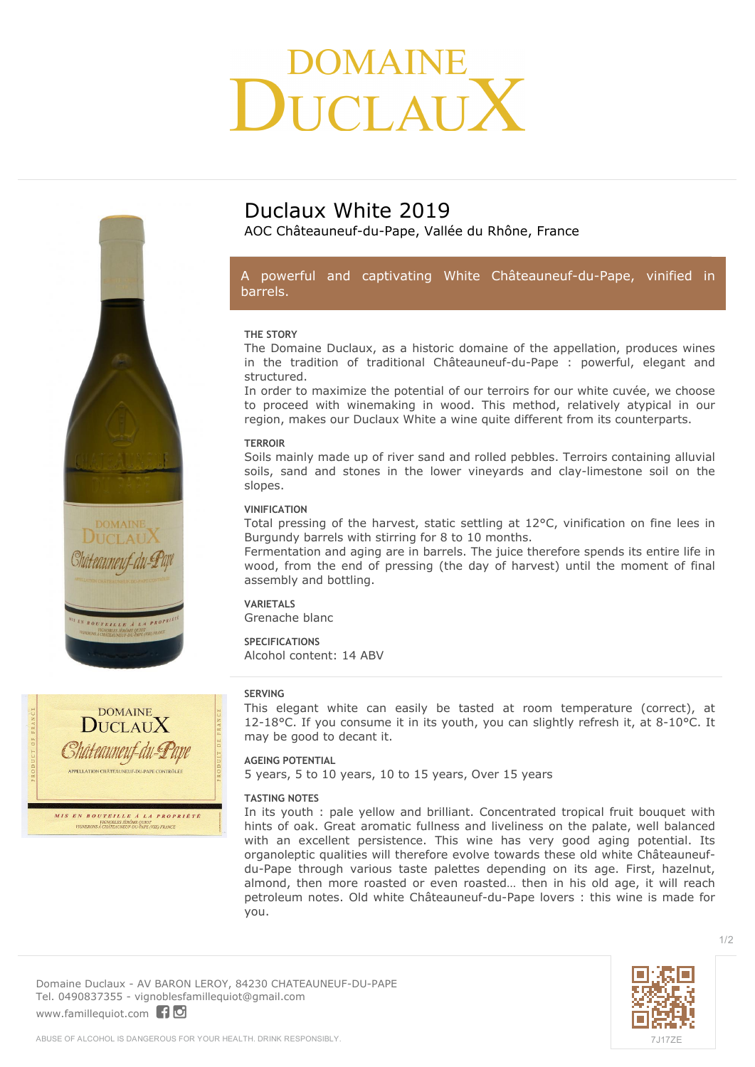# DMAINE ICI AIT



AOC Châteauneuf-du-Pape, Vallée du Rhône, France

### *A powerful and captivating White Châteauneuf-du-Pape, vinified in barrels.*

#### **THE STORY**

The Domaine Duclaux, as a historic domaine of the appellation, produces wines in the tradition of traditional Châteauneuf-du-Pape : powerful, elegant and structured.

In order to maximize the potential of our terroirs for our white cuvée, we choose to proceed with winemaking in wood. This method, relatively atypical in our region, makes our Duclaux White a wine quite different from its counterparts.

#### **TERROIR**

Soils mainly made up of river sand and rolled pebbles. Terroirs containing alluvial soils, sand and stones in the lower vineyards and clay-limestone soil on the slopes.

#### **VINIFICATION**

Total pressing of the harvest, static settling at 12°C, vinification on fine lees in Burgundy barrels with stirring for 8 to 10 months.

Fermentation and aging are in barrels. The juice therefore spends its entire life in wood, from the end of pressing (the day of harvest) until the moment of final assembly and bottling.

# **VARIETALS**

Grenache blanc

#### **SPECIFICATIONS** Alcohol content: 14 ABV

#### **SERVING**

This elegant white can easily be tasted at room temperature (correct), at 12-18°C. If you consume it in its youth, you can slightly refresh it, at 8-10°C. It may be good to decant it.

#### **AGEING POTENTIAL**

5 years, 5 to 10 years, 10 to 15 years, Over 15 years

#### **TASTING NOTES**

In its youth : pale yellow and brilliant. Concentrated tropical fruit bouquet with hints of oak. Great aromatic fullness and liveliness on the palate, well balanced with an excellent persistence. This wine has very good aging potential. Its organoleptic qualities will therefore evolve towards these old white Châteauneufdu-Pape through various taste palettes depending on its age. First, hazelnut, almond, then more roasted or even roasted… then in his old age, it will reach petroleum notes. Old white Châteauneuf-du-Pape lovers : this wine is made for you.

**Domaine Duclaux** - AV BARON LEROY, 84230 CHATEAUNEUF-DU-PAPE Tel. 0490837355 - vignoblesfamillequiot@gmail.com

<www.famillequiot.com>

TEILLE À LA PROP

**DOMAINE**  $DucIAuX$ 

Châteauneut-du-Pape **APPELLATION CHÂTEAUNEUF-DU-PAPE CONTRÔLÉE** 

**MIS EN BOUTEILLE À LA PROPRIÉTÉ**<br>
VIGNOBLES JÉRÔME QUIOT<br>
VIGNOBLES JÉRÔME QUIOT<br>
VIGNOBLES JÉRÔME QUIOT<br>
DUE VIGNOBLES JÉRÔME QUIOT<br>
DUE VIGNOBLE VIGNOBLE VISE) FRANCE



1/2